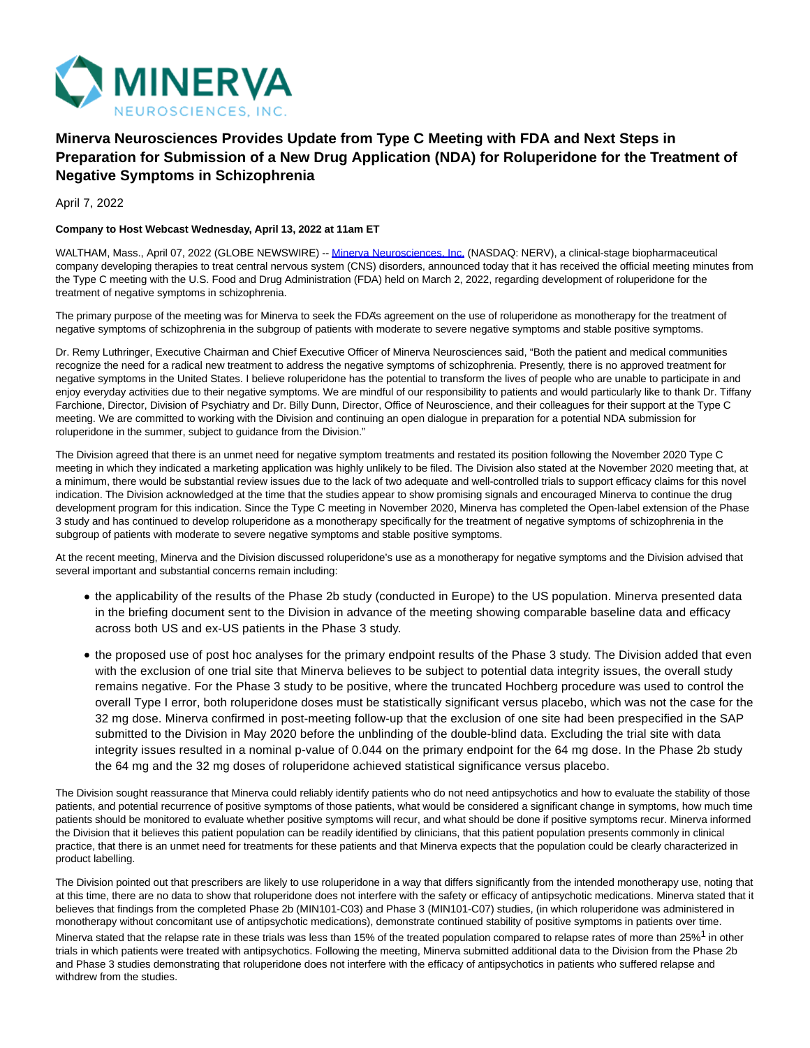

# **Minerva Neurosciences Provides Update from Type C Meeting with FDA and Next Steps in Preparation for Submission of a New Drug Application (NDA) for Roluperidone for the Treatment of Negative Symptoms in Schizophrenia**

April 7, 2022

## **Company to Host Webcast Wednesday, April 13, 2022 at 11am ET**

WALTHAM, Mass., April 07, 2022 (GLOBE NEWSWIRE) -- [Minerva Neurosciences, Inc. \(](https://www.globenewswire.com/Tracker?data=qzsJzLlaWHIHoScJO-loxRNVj4GJyxVm_f_dVFdWrp-NDMkQ8pRrNP1PsFlgD5EqDBsYqWUb9TlmbSglEmzO0sWCQ7YzxemMpn6dXzwi2x03vvnrjtDfZ_0MoQQPQWZ7)NASDAQ: NERV), a clinical-stage biopharmaceutical company developing therapies to treat central nervous system (CNS) disorders, announced today that it has received the official meeting minutes from the Type C meeting with the U.S. Food and Drug Administration (FDA) held on March 2, 2022, regarding development of roluperidone for the treatment of negative symptoms in schizophrenia.

The primary purpose of the meeting was for Minerva to seek the FDA's agreement on the use of roluperidone as monotherapy for the treatment of negative symptoms of schizophrenia in the subgroup of patients with moderate to severe negative symptoms and stable positive symptoms.

Dr. Remy Luthringer, Executive Chairman and Chief Executive Officer of Minerva Neurosciences said, "Both the patient and medical communities recognize the need for a radical new treatment to address the negative symptoms of schizophrenia. Presently, there is no approved treatment for negative symptoms in the United States. I believe roluperidone has the potential to transform the lives of people who are unable to participate in and enjoy everyday activities due to their negative symptoms. We are mindful of our responsibility to patients and would particularly like to thank Dr. Tiffany Farchione, Director, Division of Psychiatry and Dr. Billy Dunn, Director, Office of Neuroscience, and their colleagues for their support at the Type C meeting. We are committed to working with the Division and continuing an open dialogue in preparation for a potential NDA submission for roluperidone in the summer, subject to guidance from the Division."

The Division agreed that there is an unmet need for negative symptom treatments and restated its position following the November 2020 Type C meeting in which they indicated a marketing application was highly unlikely to be filed. The Division also stated at the November 2020 meeting that, at a minimum, there would be substantial review issues due to the lack of two adequate and well-controlled trials to support efficacy claims for this novel indication. The Division acknowledged at the time that the studies appear to show promising signals and encouraged Minerva to continue the drug development program for this indication. Since the Type C meeting in November 2020, Minerva has completed the Open-label extension of the Phase 3 study and has continued to develop roluperidone as a monotherapy specifically for the treatment of negative symptoms of schizophrenia in the subgroup of patients with moderate to severe negative symptoms and stable positive symptoms.

At the recent meeting, Minerva and the Division discussed roluperidone's use as a monotherapy for negative symptoms and the Division advised that several important and substantial concerns remain including:

- the applicability of the results of the Phase 2b study (conducted in Europe) to the US population. Minerva presented data in the briefing document sent to the Division in advance of the meeting showing comparable baseline data and efficacy across both US and ex-US patients in the Phase 3 study.
- the proposed use of post hoc analyses for the primary endpoint results of the Phase 3 study. The Division added that even with the exclusion of one trial site that Minerva believes to be subject to potential data integrity issues, the overall study remains negative. For the Phase 3 study to be positive, where the truncated Hochberg procedure was used to control the overall Type I error, both roluperidone doses must be statistically significant versus placebo, which was not the case for the 32 mg dose. Minerva confirmed in post-meeting follow-up that the exclusion of one site had been prespecified in the SAP submitted to the Division in May 2020 before the unblinding of the double-blind data. Excluding the trial site with data integrity issues resulted in a nominal p-value of 0.044 on the primary endpoint for the 64 mg dose. In the Phase 2b study the 64 mg and the 32 mg doses of roluperidone achieved statistical significance versus placebo.

The Division sought reassurance that Minerva could reliably identify patients who do not need antipsychotics and how to evaluate the stability of those patients, and potential recurrence of positive symptoms of those patients, what would be considered a significant change in symptoms, how much time patients should be monitored to evaluate whether positive symptoms will recur, and what should be done if positive symptoms recur. Minerva informed the Division that it believes this patient population can be readily identified by clinicians, that this patient population presents commonly in clinical practice, that there is an unmet need for treatments for these patients and that Minerva expects that the population could be clearly characterized in product labelling.

The Division pointed out that prescribers are likely to use roluperidone in a way that differs significantly from the intended monotherapy use, noting that at this time, there are no data to show that roluperidone does not interfere with the safety or efficacy of antipsychotic medications. Minerva stated that it believes that findings from the completed Phase 2b (MIN101-C03) and Phase 3 (MIN101-C07) studies, (in which roluperidone was administered in monotherapy without concomitant use of antipsychotic medications), demonstrate continued stability of positive symptoms in patients over time. Minerva stated that the relapse rate in these trials was less than 15% of the treated population compared to relapse rates of more than 25%<sup>1</sup> in other trials in which patients were treated with antipsychotics. Following the meeting, Minerva submitted additional data to the Division from the Phase 2b and Phase 3 studies demonstrating that roluperidone does not interfere with the efficacy of antipsychotics in patients who suffered relapse and withdrew from the studies.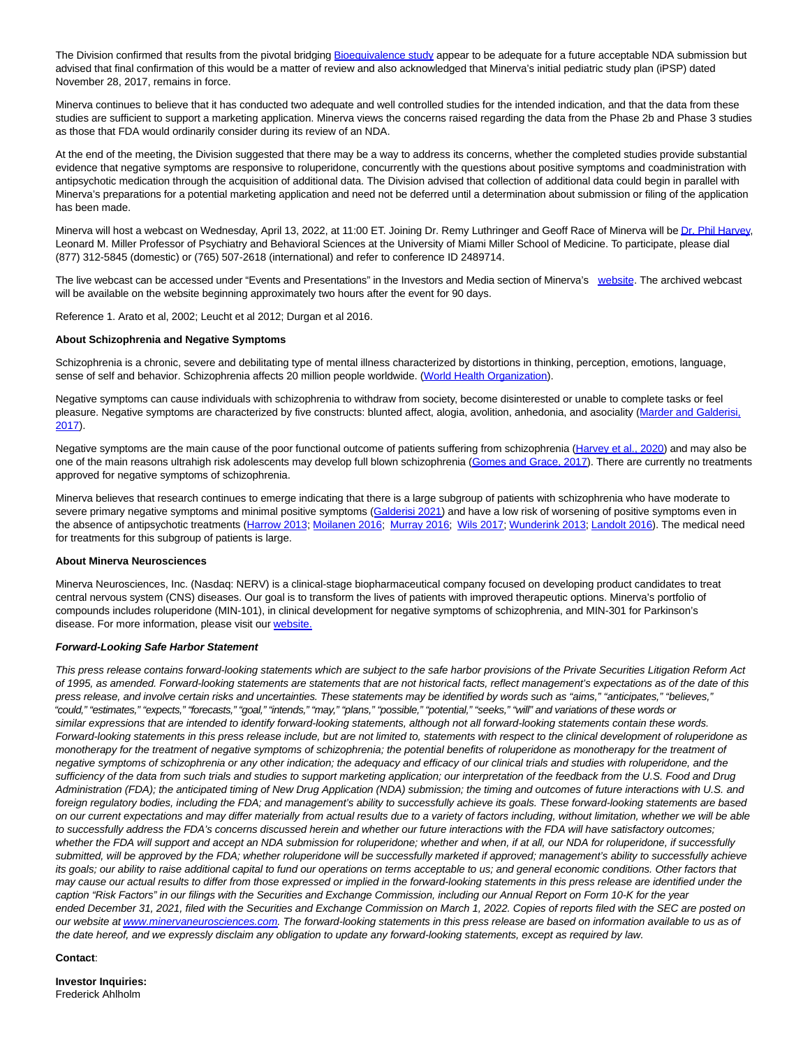The Division confirmed that results from the pivotal bridging [Bioequivalence study a](https://www.globenewswire.com/Tracker?data=76ZFRE8BRD4ZAOWDmme68hjP4pl8o2_JhBzvseyOBdziACNMFC5ksXzaBssBF6DZ2rYDavdXZrIkyk1LWrQtKbBw61Up9e6DQ1DenOZYRMy1jD3ZBwG9qqVtJgEE_lFUcQYyQHFML9lds2bA7GTfHoPk7AKqM6c9EZbe4duLcqV5QL1SP9LogyDDcto1Jt_c0vSj6iDw_xegJVj6WvVepLEx2w9gGJRCybvLBOSl708=)ppear to be adequate for a future acceptable NDA submission but advised that final confirmation of this would be a matter of review and also acknowledged that Minerva's initial pediatric study plan (iPSP) dated November 28, 2017, remains in force.

Minerva continues to believe that it has conducted two adequate and well controlled studies for the intended indication, and that the data from these studies are sufficient to support a marketing application. Minerva views the concerns raised regarding the data from the Phase 2b and Phase 3 studies as those that FDA would ordinarily consider during its review of an NDA.

At the end of the meeting, the Division suggested that there may be a way to address its concerns, whether the completed studies provide substantial evidence that negative symptoms are responsive to roluperidone, concurrently with the questions about positive symptoms and coadministration with antipsychotic medication through the acquisition of additional data. The Division advised that collection of additional data could begin in parallel with Minerva's preparations for a potential marketing application and need not be deferred until a determination about submission or filing of the application has been made.

Minerva will host a webcast on Wednesday, April 13, 2022, at 11:00 ET. Joining Dr. Remy Luthringer and Geoff Race of Minerva will b[e Dr. Phil Harvey,](https://www.globenewswire.com/Tracker?data=1LzHvXW41JhwhvejiifT8WykQCA_uf1EhLhKjyvnyZBl66fVr8NgP5aHeM9v6-R_w3dDj8sEAexqTv9xO3P7BtnarA0dn2wDHWpsEroKXUHxesQXLeOXcFgpyWv81zCMERUhglDoEt7yN72MjsCiXQ==) Leonard M. Miller Professor of Psychiatry and Behavioral Sciences at the University of Miami Miller School of Medicine. To participate, please dial (877) 312-5845 (domestic) or (765) 507-2618 (international) and refer to conference ID 2489714.

The live webcast can be accessed under "Events and Presentations" in the Investors and Media section of Minerva's [website.](https://www.globenewswire.com/Tracker?data=Paea-iL6UT7D98ZG2ODvMttnl7LNrgqDVltJfyxz5JN8kDjMvmjULULu03fJQvEox6INtnQ-5sfWgwYgQCh2G-b8g2zQQkzx7j3hN2XTPnXVqLVmPWkuLnMxqh0evKKW) The archived webcast will be available on the website beginning approximately two hours after the event for 90 days.

Reference 1. Arato et al, 2002; Leucht et al 2012; Durgan et al 2016.

#### **About Schizophrenia and Negative Symptoms**

Schizophrenia is a chronic, severe and debilitating type of mental illness characterized by distortions in thinking, perception, emotions, language, sense of self and behavior. Schizophrenia affects 20 million people worldwide. [\(World Health Organization\).](https://www.globenewswire.com/Tracker?data=rW37EvvLcedkZ35agjGdSKLgkX_656frLSg74ku-rLz5md9g-MuAavOWBqZvY3FlUntJDshXVvE9eOuAISevKAIwz_YmCNRc-RsEUgyCsPOjraRGIokA1cDUXgS9Y-A1V_QzaYD2CZKD4THoNkzeBA==)

Negative symptoms can cause individuals with schizophrenia to withdraw from society, become disinterested or unable to complete tasks or feel pleasure. Negative symptoms are characterized by five constructs: blunted affect, alogia, avolition, anhedonia, and asociality [\(Marder and Galderisi,](https://www.globenewswire.com/Tracker?data=sbVZvCARI7Fc92IgQfO_O17nKNGK9jHDEkgaiIfVrZzsnRNttdB1PAK-BrXw5y7TydX4yTUXYqYdsbMJ176XaOTvUcvVV3exUOlUkh5wCKY_Ex_iwcAVjM0Osy15J-B1) 2017).

Negative symptoms are the main cause of the poor functional outcome of patients suffering from schizophrenia [\(Harvey et al., 2020\)](https://www.globenewswire.com/Tracker?data=JsBmERgEub-vtNfjUw7p0wa6gj9xmc63_t69FdXnn72xh5bmiVFwjWi2KLjflQv4DkD3ZTXaDzck2CpSuPUcKJpDCMUSHHvAVITbiszHjcSl0IBwnTsbYadPIbYmzgmG) and may also be one of the main reasons ultrahigh risk adolescents may develop full blown schizophrenia [\(Gomes and Grace, 2017\).](https://www.globenewswire.com/Tracker?data=-MJxhN8uyk6iAERKx_waOJfOwrt62NpsnYwBXx50Z9szi_dQipOkZBlEglghHTZLGr3lkZMzzrBpbyR0tWyBGpDpdKndoa-nZURvRRzgqb26eiR0FCFaFdPOPx6xm9VOpJS9u2sFZb0G10z-Ly5cS-OvVXhfNTy0Xku_7N-vCKRZ3Lqw9l1MTJYmEi4MU1KLQlRFALoKvCwEYCrV9fCnH9eqWM_7DJ7wCiyrw2yucfzx5QG1TqmhAItLnFcAvXwn) There are currently no treatments approved for negative symptoms of schizophrenia.

Minerva believes that research continues to emerge indicating that there is a large subgroup of patients with schizophrenia who have moderate to severe primary negative symptoms and minimal positive symptoms [\(Galderisi 2021\)](https://www.globenewswire.com/Tracker?data=sVnWzqDF4yQzua2xBAeyJv6KHwdt0xWf5sACz2l38bM9fNIFbUFnJzcoXQ8JA0YetrMRezwaqiWrJ6OnvNKZvqm-5DbxyWZXcnEyLC4KQrg=) and have a low risk of worsening of positive symptoms even in the absence of antipsychotic treatments [\(Harrow 2013;](https://www.globenewswire.com/Tracker?data=G1nQa9sq6YNni4zDoGwZQS8H8K-kc8fD10xZ11zQPn-3Yo7IYDqkprfGt3uESDCnS0btNXFHomNtrmKITbJXzpBnJ45I1kNplKvSyzmdbOI=) [Moilanen 2016;](https://www.globenewswire.com/Tracker?data=pQOUsMOJ_PIJmJBaW5E1FjCFXa2fKCtznePJKk8bozd8ZmtxDOXdY3nCiT-_zdZq6QWyKL7ed20Fj-UIWsugXHOeuLul-_9DIrByW3hxQGM=) [Murray 2016;](https://www.globenewswire.com/Tracker?data=kuei5mMmu9RyY58azzpGiNOTIgL9ANt7c3FDnIVkjDFHUoP54z-RzIwzAjuHnuTm68lm2S0pkZyPAkY8NKeatGxyYV2Ge-9I7H1wVtwH784=) [Wils 2017;](https://www.globenewswire.com/Tracker?data=gFcUkABnlcgotuSNxXKiWOz-edrxOdllWUJZRUmrSNNrx0ENHgyDJCG_f5NlJ_mAvj0xIwiCFLAXJSeZGka8lnEfS7NLGr2aEbZ-C9e4c3c=) [Wunderink 2013;](https://www.globenewswire.com/Tracker?data=ZBX8ZYbsu3IkBQig73wAumtRPSjJ-_gdEJienhLd6vrTUH6di9QtyNqQYWPiMC5CFTJDRi-X4Nv8EAhYvaC1FNtKEl152T1XPl-Fy2pTywA=) [Landolt 2016\).](https://www.globenewswire.com/Tracker?data=yzEgi4JUdl038Dzwnf0nxAu7aRljR9w0jGDSFaNZKCcSSJYY846eAU6I7rD_FFqUqgR5JMT0BmZcD03nU5O5kuxAkURe_AdlG0xrZZug6Kw=) The medical need for treatments for this subgroup of patients is large.

### **About Minerva Neurosciences**

Minerva Neurosciences, Inc. (Nasdaq: NERV) is a clinical-stage biopharmaceutical company focused on developing product candidates to treat central nervous system (CNS) diseases. Our goal is to transform the lives of patients with improved therapeutic options. Minerva's portfolio of compounds includes roluperidone (MIN-101), in clinical development for negative symptoms of schizophrenia, and MIN-301 for Parkinson's disease. For more information, please visit our [website.](https://www.globenewswire.com/Tracker?data=Paea-iL6UT7D98ZG2ODvMmwq3JaIFK5RrKjkluTguvm1PMmDigvHPPIT95h2ydpfRrU07EX4r_mHJbBccdtFTQe8K9daBUDtgfMSaJ2hAe8=)

#### **Forward-Looking Safe Harbor Statement**

This press release contains forward-looking statements which are subject to the safe harbor provisions of the Private Securities Litigation Reform Act of 1995, as amended. Forward-looking statements are statements that are not historical facts, reflect management's expectations as of the date of this press release, and involve certain risks and uncertainties. These statements may be identified by words such as "aims," "anticipates," "believes," "could," "estimates," "expects," "forecasts," "goal," "intends," "may," "plans," "possible," "potential," "seeks," "will" and variations of these words or similar expressions that are intended to identify forward-looking statements, although not all forward-looking statements contain these words. Forward-looking statements in this press release include, but are not limited to, statements with respect to the clinical development of roluperidone as monotherapy for the treatment of negative symptoms of schizophrenia; the potential benefits of roluperidone as monotherapy for the treatment of negative symptoms of schizophrenia or any other indication; the adequacy and efficacy of our clinical trials and studies with roluperidone, and the sufficiency of the data from such trials and studies to support marketing application; our interpretation of the feedback from the U.S. Food and Drug Administration (FDA); the anticipated timing of New Drug Application (NDA) submission; the timing and outcomes of future interactions with U.S. and foreign regulatory bodies, including the FDA; and management's ability to successfully achieve its goals. These forward-looking statements are based on our current expectations and may differ materially from actual results due to a variety of factors including, without limitation, whether we will be able to successfully address the FDA's concerns discussed herein and whether our future interactions with the FDA will have satisfactory outcomes; whether the FDA will support and accept an NDA submission for roluperidone; whether and when, if at all, our NDA for roluperidone, if successfully submitted, will be approved by the FDA; whether roluperidone will be successfully marketed if approved; management's ability to successfully achieve its goals; our ability to raise additional capital to fund our operations on terms acceptable to us; and general economic conditions. Other factors that may cause our actual results to differ from those expressed or implied in the forward-looking statements in this press release are identified under the caption "Risk Factors" in our filings with the Securities and Exchange Commission, including our Annual Report on Form 10-K for the year ended December 31, 2021, filed with the Securities and Exchange Commission on March 1, 2022. Copies of reports filed with the SEC are posted on our website a[t www.minervaneurosciences.com.](https://www.globenewswire.com/Tracker?data=8k79mDYceaCD3ujxqhdEzNGk2LuufAYRvmQMsR56zKylSsgQgPUw_HTJL0fq8PsLB3X56wJl7qlEdy0K90x-s7VixqztG80mDH6bGnqIoNh-AQA8j5UWmC3T8AwFYL4q) The forward-looking statements in this press release are based on information available to us as of the date hereof, and we expressly disclaim any obligation to update any forward-looking statements, except as required by law.

### **Contact**:

**Investor Inquiries:** Frederick Ahlholm